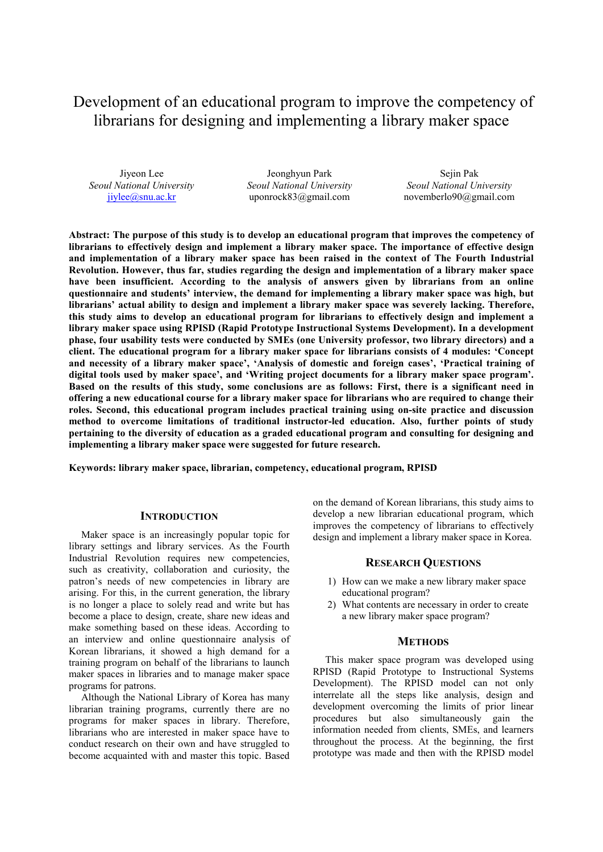# Development of an educational program to improve the competency of librarians for designing and implementing a library maker space

Jiyeon Lee *Seoul National University* jiylee@snu.ac.kr

Jeonghyun Park *Seoul National University* uponrock83@gmail.com

Sejin Pak *Seoul National University* novemberlo90@gmail.com

**Abstract: The purpose of this study is to develop an educational program that improves the competency of librarians to effectively design and implement a library maker space. The importance of effective design and implementation of a library maker space has been raised in the context of The Fourth Industrial Revolution. However, thus far, studies regarding the design and implementation of a library maker space have been insufficient. According to the analysis of answers given by librarians from an online questionnaire and students' interview, the demand for implementing a library maker space was high, but librarians' actual ability to design and implement a library maker space was severely lacking. Therefore, this study aims to develop an educational program for librarians to effectively design and implement a library maker space using RPISD (Rapid Prototype Instructional Systems Development). In a development phase, four usability tests were conducted by SMEs (one University professor, two library directors) and a client. The educational program for a library maker space for librarians consists of 4 modules: 'Concept and necessity of a library maker space', 'Analysis of domestic and foreign cases', 'Practical training of digital tools used by maker space', and 'Writing project documents for a library maker space program'. Based on the results of this study, some conclusions are as follows: First, there is a significant need in offering a new educational course for a library maker space for librarians who are required to change their roles. Second, this educational program includes practical training using on-site practice and discussion method to overcome limitations of traditional instructor-led education. Also, further points of study pertaining to the diversity of education as a graded educational program and consulting for designing and implementing a library maker space were suggested for future research.** 

**Keywords: library maker space, librarian, competency, educational program, RPISD** 

#### **INTRODUCTION**

Maker space is an increasingly popular topic for library settings and library services. As the Fourth Industrial Revolution requires new competencies, such as creativity, collaboration and curiosity, the patron's needs of new competencies in library are arising. For this, in the current generation, the library is no longer a place to solely read and write but has become a place to design, create, share new ideas and make something based on these ideas. According to an interview and online questionnaire analysis of Korean librarians, it showed a high demand for a training program on behalf of the librarians to launch maker spaces in libraries and to manage maker space programs for patrons.

Although the National Library of Korea has many librarian training programs, currently there are no programs for maker spaces in library. Therefore, librarians who are interested in maker space have to conduct research on their own and have struggled to become acquainted with and master this topic. Based on the demand of Korean librarians, this study aims to develop a new librarian educational program, which improves the competency of librarians to effectively design and implement a library maker space in Korea.

# **RESEARCH QUESTIONS**

- 1) How can we make a new library maker space educational program?
- 2) What contents are necessary in order to create a new library maker space program?

#### **METHODS**

This maker space program was developed using RPISD (Rapid Prototype to Instructional Systems Development). The RPISD model can not only interrelate all the steps like analysis, design and development overcoming the limits of prior linear procedures but also simultaneously gain the information needed from clients, SMEs, and learners throughout the process. At the beginning, the first prototype was made and then with the RPISD model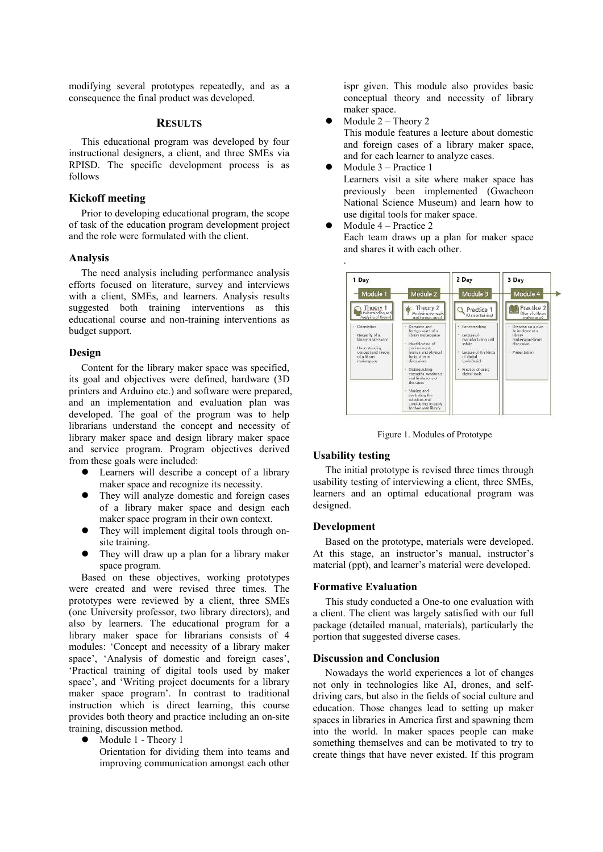modifying several prototypes repeatedly, and as a consequence the final product was developed.

# **RESULTS**

This educational program was developed by four instructional designers, a client, and three SMEs via RPISD. The specific development process is as follows

## **Kickoff meeting**

Prior to developing educational program, the scope of task of the education program development project and the role were formulated with the client.

#### **Analysis**

The need analysis including performance analysis efforts focused on literature, survey and interviews with a client, SMEs, and learners. Analysis results suggested both training interventions as this educational course and non-training interventions as budget support.

## **Design**

Content for the library maker space was specified, its goal and objectives were defined, hardware (3D printers and Arduino etc.) and software were prepared, and an implementation and evaluation plan was developed. The goal of the program was to help librarians understand the concept and necessity of library maker space and design library maker space and service program. Program objectives derived from these goals were included:

- Learners will describe a concept of a library maker space and recognize its necessity.
- They will analyze domestic and foreign cases of a library maker space and design each maker space program in their own context.
- They will implement digital tools through onsite training.
- They will draw up a plan for a library maker space program.

Based on these objectives, working prototypes were created and were revised three times. The prototypes were reviewed by a client, three SMEs (one University professor, two library directors), and also by learners. The educational program for a library maker space for librarians consists of 4 modules: 'Concept and necessity of a library maker space', 'Analysis of domestic and foreign cases', 'Practical training of digital tools used by maker space', and 'Writing project documents for a library maker space program'. In contrast to traditional instruction which is direct learning, this course provides both theory and practice including an on-site training, discussion method.

Module 1 - Theory 1

Orientation for dividing them into teams and improving communication amongst each other

ispr given. This module also provides basic conceptual theory and necessity of library maker space.

- Module 2 Theory 2 This module features a lecture about domestic and foreign cases of a library maker space, and for each learner to analyze cases.
- Module 3 Practice 1 Learners visit a site where maker space has previously been implemented (Gwacheon National Science Museum) and learn how to use digital tools for maker space.
- Module 4 Practice 2 Each team draws up a plan for maker space and shares it with each other.



Figure 1. Modules of Prototype

## **Usability testing**

The initial prototype is revised three times through usability testing of interviewing a client, three SMEs, learners and an optimal educational program was designed.

#### **Development**

Based on the prototype, materials were developed. At this stage, an instructor's manual, instructor's material (ppt), and learner's material were developed.

#### **Formative Evaluation**

This study conducted a One-to one evaluation with a client. The client was largely satisfied with our full package (detailed manual, materials), particularly the portion that suggested diverse cases.

## **Discussion and Conclusion**

Nowadays the world experiences a lot of changes not only in technologies like AI, drones, and selfdriving cars, but also in the fields of social culture and education. Those changes lead to setting up maker spaces in libraries in America first and spawning them into the world. In maker spaces people can make something themselves and can be motivated to try to create things that have never existed. If this program